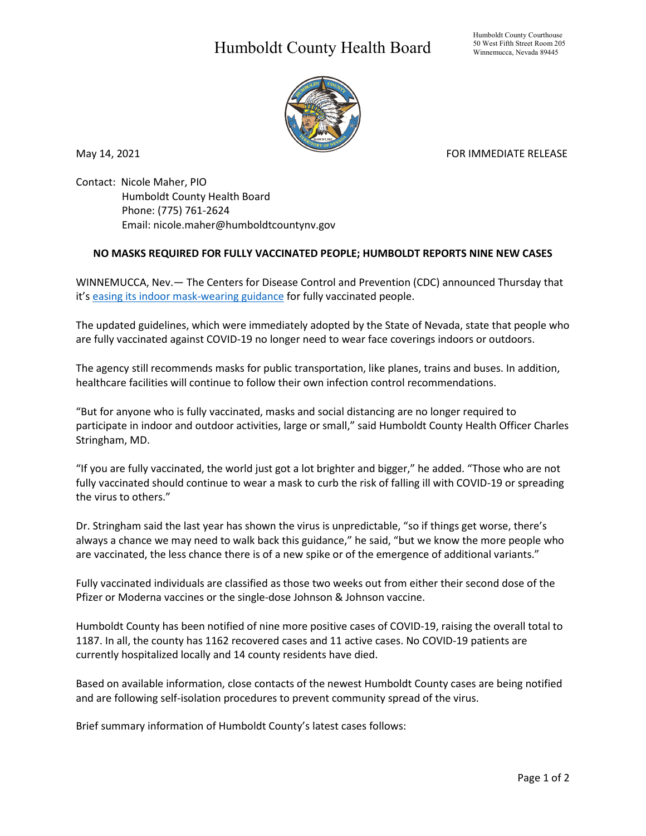## Humboldt County Health Board



May 14, 2021 **FOR IMMEDIATE RELEASE** 

Contact: Nicole Maher, PIO Humboldt County Health Board Phone: (775) 761-2624 Email: nicole.maher@humboldtcountynv.gov

## **NO MASKS REQUIRED FOR FULLY VACCINATED PEOPLE; HUMBOLDT REPORTS NINE NEW CASES**

WINNEMUCCA, Nev.— The Centers for Disease Control and Prevention (CDC) announced Thursday that it'[s easing its indoor mask-wearing guidance](https://www.cdc.gov/coronavirus/2019-ncov/vaccines/fully-vaccinated.html) for fully vaccinated people.

The updated guidelines, which were immediately adopted by the State of Nevada, state that people who are fully vaccinated against COVID-19 no longer need to wear face coverings indoors or outdoors.

The agency still recommends masks for public transportation, like planes, trains and buses. In addition, healthcare facilities will continue to follow their own infection control recommendations.

"But for anyone who is fully vaccinated, masks and social distancing are no longer required to participate in indoor and outdoor activities, large or small," said Humboldt County Health Officer Charles Stringham, MD.

"If you are fully vaccinated, the world just got a lot brighter and bigger," he added. "Those who are not fully vaccinated should continue to wear a mask to curb the risk of falling ill with COVID-19 or spreading the virus to others."

Dr. Stringham said the last year has shown the virus is unpredictable, "so if things get worse, there's always a chance we may need to walk back this guidance," he said, "but we know the more people who are vaccinated, the less chance there is of a new spike or of the emergence of additional variants."

Fully vaccinated individuals are classified as those two weeks out from either their second dose of the Pfizer or Moderna vaccines or the single-dose Johnson & Johnson vaccine.

Humboldt County has been notified of nine more positive cases of COVID-19, raising the overall total to 1187. In all, the county has 1162 recovered cases and 11 active cases. No COVID-19 patients are currently hospitalized locally and 14 county residents have died.

Based on available information, close contacts of the newest Humboldt County cases are being notified and are following self-isolation procedures to prevent community spread of the virus.

Brief summary information of Humboldt County's latest cases follows: